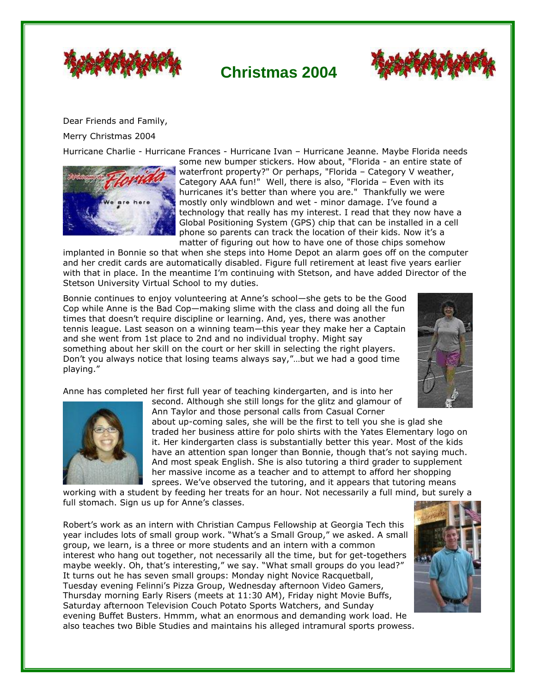

## **Christmas 2004**



Dear Friends and Family,

Merry Christmas 2004

Hurricane Charlie - Hurricane Frances - Hurricane Ivan – Hurricane Jeanne. Maybe Florida needs



some new bumper stickers. How about, "Florida - an entire state of waterfront property?" Or perhaps, "Florida – Category V weather, Category AAA fun!" Well, there is also, "Florida – Even with its hurricanes it's better than where you are." Thankfully we were mostly only windblown and wet - minor damage. I've found a technology that really has my interest. I read that they now have a Global Positioning System (GPS) chip that can be installed in a cell phone so parents can track the location of their kids. Now it's a matter of figuring out how to have one of those chips somehow

implanted in Bonnie so that when she steps into Home Depot an alarm goes off on the computer and her credit cards are automatically disabled. Figure full retirement at least five years earlier with that in place. In the meantime I'm continuing with Stetson, and have added Director of the Stetson University Virtual School to my duties.

Bonnie continues to enjoy volunteering at Anne's school—she gets to be the Good Cop while Anne is the Bad Cop—making slime with the class and doing all the fun times that doesn't require discipline or learning. And, yes, there was another tennis league. Last season on a winning team—this year they make her a Captain and she went from 1st place to 2nd and no individual trophy. Might say something about her skill on the court or her skill in selecting the right players. Don't you always notice that losing teams always say,"…but we had a good time playing."



Anne has completed her first full year of teaching kindergarten, and is into her



second. Although she still longs for the glitz and glamour of Ann Taylor and those personal calls from Casual Corner

about up-coming sales, she will be the first to tell you she is glad she traded her business attire for polo shirts with the Yates Elementary logo on it. Her kindergarten class is substantially better this year. Most of the kids have an attention span longer than Bonnie, though that's not saying much. And most speak English. She is also tutoring a third grader to supplement her massive income as a teacher and to attempt to afford her shopping sprees. We've observed the tutoring, and it appears that tutoring means

working with a student by feeding her treats for an hour. Not necessarily a full mind, but surely a full stomach. Sign us up for Anne's classes.

Robert's work as an intern with Christian Campus Fellowship at Georgia Tech this year includes lots of small group work. "What's a Small Group," we asked. A small group, we learn, is a three or more students and an intern with a common interest who hang out together, not necessarily all the time, but for get-togethers maybe weekly. Oh, that's interesting," we say. "What small groups do you lead?" It turns out he has seven small groups: Monday night Novice Racquetball, Tuesday evening Felinni's Pizza Group, Wednesday afternoon Video Gamers, Thursday morning Early Risers (meets at 11:30 AM), Friday night Movie Buffs, Saturday afternoon Television Couch Potato Sports Watchers, and Sunday evening Buffet Busters. Hmmm, what an enormous and demanding work load. He also teaches two Bible Studies and maintains his alleged intramural sports prowess.